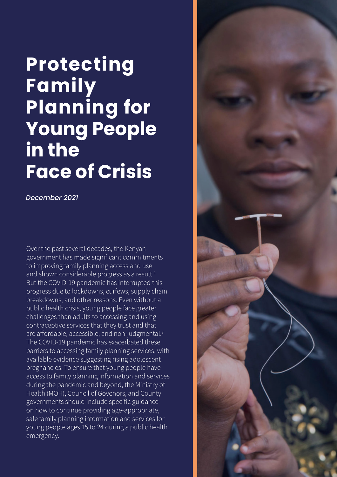# **Protecting Family Planning for Young People in the Face of Crisis**

*December 2021*

Over the past several decades, the Kenyan government has made significant commitments to improving family planning access and use and shown considerable progress as a result.<sup>1</sup> But the COVID-19 pandemic has interrupted this progress due to lockdowns, curfews, supply chain breakdowns, and other reasons. Even without a public health crisis, young people face greater challenges than adults to accessing and using contraceptive services that they trust and that are affordable, accessible, and non-judgmental.<sup>2</sup> The COVID-19 pandemic has exacerbated these barriers to accessing family planning services, with available evidence suggesting rising adolescent pregnancies. To ensure that young people have access to family planning information and services during the pandemic and beyond, the Ministry of Health (MOH), Council of Govenors, and County governments should include specific guidance on how to continue providing age-appropriate, safe family planning information and services for young people ages 15 to 24 during a public health emergency.

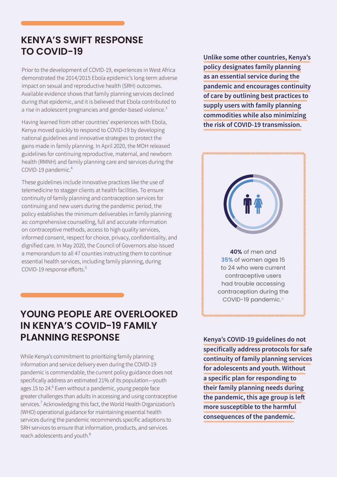# **KENYA'S SWIFT RESPONSE TO COVID-19**

Prior to the development of COVID-19, experiences in West Africa demonstrated the 2014/2015 Ebola epidemic's long-term adverse impact on sexual and reproductive health (SRH) outcomes. Available evidence shows that family planning services declined during that epidemic, and it is believed that Ebola contributed to a rise in adolescent pregnancies and gender-based violence.<sup>3</sup>

Having learned from other countries' experiences with Ebola, Kenya moved quickly to respond to COVID-19 by developing national guidelines and innovative strategies to protect the gains made in family planning. In April 2020, the MOH released guidelines for continuing reproductive, maternal, and newborn health (RMNH) and family planning care and services during the COVID-19 pandemic.4

These guidelines include innovative practices like the use of telemedicine to stagger clients at health facilities. To ensure continuity of family planning and contraception services for continuing and new users during the pandemic period, the policy establishes the minimum deliverables in family planning as: comprehensive counselling, full and accurate information on contraceptive methods, access to high quality services, informed consent, respect for choice, privacy, confidentiality, and dignified care. In May 2020, the Council of Governors also issued a memorandum to all 47 counties instructing them to continue essential health services, including family planning, during COVID-19 response efforts. 5

# **YOUNG PEOPLE ARE OVERLOOKED IN KENYA'S COVID-19 FAMILY PLANNING RESPONSE**

While Kenya's commitment to prioritizing family planning information and service delivery even during the COVID-19 pandemic is commendable, the current policy guidance does not specifically address an estimated 21% of its population—youth ages 15 to 24.<sup>6</sup> Even without a pandemic, young people face greater challenges than adults in accessing and using contraceptive services.<sup>7</sup> Acknowledging this fact, the World Health Organization's (WHO) operational guidance for maintaining essential health services during the pandemic recommends specific adaptions to SRH services to ensure that information, products, and services reach adolescents and youth.<sup>8</sup>

**Unlike some other countries, Kenya's policy designates family planning as an essential service during the pandemic and encourages continuity of care by outlining best practices to supply users with family planning commodities while also minimizing the risk of COVID-19 transmission.** 



**40%** of men and **35%** of women ages 15 to 24 who were current contraceptive users had trouble accessing contraception during the COVID-19 pandemic.<sup>10</sup>

**Kenya's COVID-19 guidelines do not specifically address protocols for safe continuity of family planning services for adolescents and youth. Without a specific plan for responding to their family planning needs during the pandemic, this age group is left more susceptible to the harmful consequences of the pandemic.**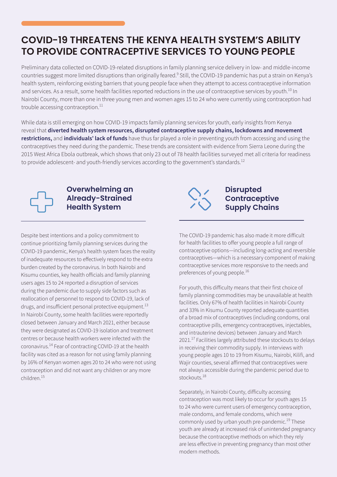# **COVID-19 THREATENS THE KENYA HEALTH SYSTEM'S ABILITY TO PROVIDE CONTRACEPTIVE SERVICES TO YOUNG PEOPLE**

Preliminary data collected on COVID-19-related disruptions in family planning service delivery in low- and middle-income countries suggest more limited disruptions than originally feared.<sup>9</sup> Still, the COVID-19 pandemic has put a strain on Kenya's health system, reinforcing existing barriers that young people face when they attempt to access contraceptive information and services. As a result, some health facilities reported reductions in the use of contraceptive services by youth.<sup>10</sup> In Nairobi County, more than one in three young men and women ages 15 to 24 who were currently using contraception had trouble accessing contraception. $^{11}$ 

While data is still emerging on how COVID-19 impacts family planning services for youth, early insights from Kenya reveal that **diverted health system resources, disrupted contraceptive supply chains, lockdowns and movement restrictions,** and **individuals' lack of funds** have thus far played a role in preventing youth from accessing and using the contraceptives they need during the pandemic. These trends are consistent with evidence from Sierra Leone during the 2015 West Africa Ebola outbreak, which shows that only 23 out of 78 health facilities surveyed met all criteria for readiness to provide adolescent- and youth-friendly services according to the government's standards.<sup>12</sup>



## **Overwhelming an Already-Strained Health System**

Despite best intentions and a policy commitment to continue prioritizing family planning services during the COVID-19 pandemic, Kenya's health system faces the reality of inadequate resources to effectively respond to the extra burden created by the coronavirus. In both Nairobi and Kisumu counties, key health officials and family planning users ages 15 to 24 reported a disruption of services during the pandemic due to supply side factors such as reallocation of personnel to respond to COVID-19, lack of drugs, and insufficient personal protective equipment. $^{13}$ In Nairobi County, some health facilities were reportedly closed between January and March 2021, either because they were designated as COVID-19 isolation and treatment centres or because health workers were infected with the coronavirus.14 Fear of contracting COVID-19 at the health facility was cited as a reason for not using family planning by 16% of Kenyan women ages 20 to 24 who were not using contraception and did not want any children or any more children.<sup>15</sup>



### **Disrupted Contraceptive Supply Chains**

The COVID-19 pandemic has also made it more difficult for health facilities to offer young people a full range of contraceptive options—including long-acting and reversible contraceptives—which is a necessary component of making contraceptive services more responsive to the needs and preferences of young people.<sup>16</sup>

For youth, this difficulty means that their first choice of family planning commodities may be unavailable at health facilities. Only 67% of health facilities in Nairobi County and 33% in Kisumu County reported adequate quantities of a broad mix of contraceptives (including condoms, oral contraceptive pills, emergency contraceptives, injectables, and intrauterine devices) between January and March 2021.<sup>17</sup> Facilities largely attributed these stockouts to delays in receiving their commodity supply. In interviews with young people ages 10 to 19 from Kisumu, Nairobi, Kilifi, and Wajir counties, several affirmed that contraceptives were not always accessible during the pandemic period due to stockouts.<sup>18</sup>

Separately, in Nairobi County, difficulty accessing contraception was most likely to occur for youth ages 15 to 24 who were current users of emergency contraception, male condoms, and female condoms, which were commonly used by urban youth pre-pandemic. $19$  These youth are already at increased risk of unintended pregnancy because the contraceptive methods on which they rely are less effective in preventing pregnancy than most other modern methods.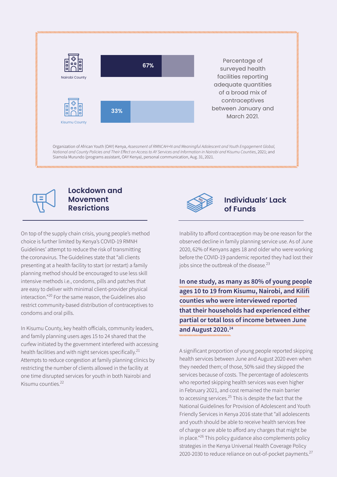

*National and County Policies and Their Effect on Access to AY Services and Information in Nairobi and Kisumu Counties*, 2021; and Siamola Murundo (programs assistant, OAY Kenya), personal communication, Aug. 31, 2021.



## **Lockdown and Movement Resrictions**

On top of the supply chain crisis, young people's method choice is further limited by Kenya's COVID-19 RMNH Guidelines' attempt to reduce the risk of transmitting the coronavirus. The Guidelines state that "all clients presenting at a health facility to start (or restart) a family planning method should be encouraged to use less skill intensive methods i.e., condoms, pills and patches that are easy to deliver with minimal client-provider physical interaction."<sup>20</sup> For the same reason, the Guidelines also restrict community-based distribution of contraceptives to condoms and oral pills.

In Kisumu County, key health officials, community leaders, and family planning users ages 15 to 24 shared that the curfew initiated by the government interfered with accessing health facilities and with night services specifically.<sup>21</sup> Attempts to reduce congestion at family planning clinics by restricting the number of clients allowed in the facility at one time disrupted services for youth in both Nairobi and Kisumu counties. 22



## **Individuals' Lack of Funds**

Inability to afford contraception may be one reason for the observed decline in family planning service use. As of June 2020, 62% of Kenyans ages 18 and older who were working before the COVID-19 pandemic reported they had lost their jobs since the outbreak of the disease.<sup>23</sup>

**In one study, as many as 80% of young people ages 10 to 19 from Kisumu, Nairobi, and Kilifi counties who were interviewed reported that their households had experienced either partial or total loss of income between June and August 2020.24** 

A significant proportion of young people reported skipping health services between June and August 2020 even when they needed them; of those, 50% said they skipped the services because of costs. The percentage of adolescents who reported skipping health services was even higher in February 2021, and cost remained the main barrier to accessing services.<sup>25</sup> This is despite the fact that the National Guidelines for Provision of Adolescent and Youth Friendly Services in Kenya 2016 state that "all adolescents and youth should be able to receive health services free of charge or are able to afford any charges that might be in place."26 This policy guidance also complements policy strategies in the Kenya Universal Health Coverage Policy 2020-2030 to reduce reliance on out-of-pocket payments. $27$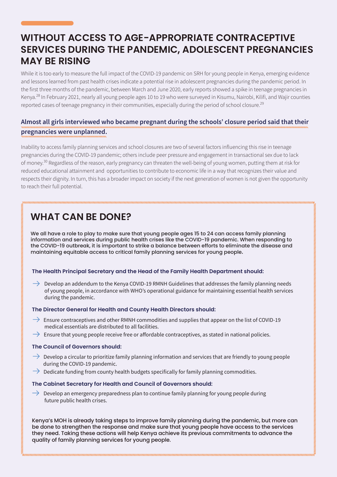# **WITHOUT ACCESS TO AGE-APPROPRIATE CONTRACEPTIVE SERVICES DURING THE PANDEMIC, ADOLESCENT PREGNANCIES MAY BE RISING**

While it is too early to measure the full impact of the COVID-19 pandemic on SRH for young people in Kenya, emerging evidence and lessons learned from past health crises indicate a potential rise in adolescent pregnancies during the pandemic period. In the first three months of the pandemic, between March and June 2020, early reports showed a spike in teenage pregnancies in Kenya.28 In February 2021, nearly all young people ages 10 to 19 who were surveyed in Kisumu, Nairobi, Kilifi, and Wajir counties reported cases of teenage pregnancy in their communities, especially during the period of school closure.<sup>29</sup>

### **Almost all girls interviewed who became pregnant during the schools' closure period said that their pregnancies were unplanned.**

Inability to access family planning services and school closures are two of several factors influencing this rise in teenage pregnancies during the COVID-19 pandemic; others include peer pressure and engagement in transactional sex due to lack of money.<sup>30</sup> Regardless of the reason, early pregnancy can threaten the well-being of young women, putting them at risk for reduced educational attainment and opportunities to contribute to economic life in a way that recognizes their value and respects their dignity. In turn, this has a broader impact on society if the next generation of women is not given the opportunity to reach their full potential.

# **WHAT CAN BE DONE?**

We all have a role to play to make sure that young people ages 15 to 24 can access family planning information and services during public health crises like the COVID-19 pandemic. When responding to the COVID-19 outbreak, it is important to strike a balance between efforts to eliminate the disease and maintaining equitable access to critical family planning services for young people**.** 

#### **The Health Principal Secretary and the Head of the Family Health Department should:**

 $\rightarrow$  Develop an addendum to the Kenya COVID-19 RMNH Guidelines that addresses the family planning needs of young people, in accordance with WHO's operational guidance for maintaining essential health services during the pandemic.

#### **The Director General for Health and County Health Directors should:**

- $\rightarrow$  Ensure contraceptives and other RMNH commodities and supplies that appear on the list of COVID-19 medical essentials are distributed to all facilities.
- $\rightarrow$  Ensure that young people receive free or affordable contraceptives, as stated in national policies.

#### **The Council of Governors should:**

- $\rightarrow$  Develop a circular to prioritize family planning information and services that are friendly to young people during the COVID-19 pandemic.
- $\rightarrow$  Dedicate funding from county health budgets specifically for family planning commodities.

#### **The Cabinet Secretary for Health and Council of Governors should:**

 $\rightarrow$  Develop an emergency preparedness plan to continue family planning for young people during future public health crises.

Kenya's MOH is already taking steps to improve family planning during the pandemic, but more can be done to strengthen the response and make sure that young people have access to the services they need. Taking these actions will help Kenya achieve its previous commitments to advance the quality of family planning services for young people.